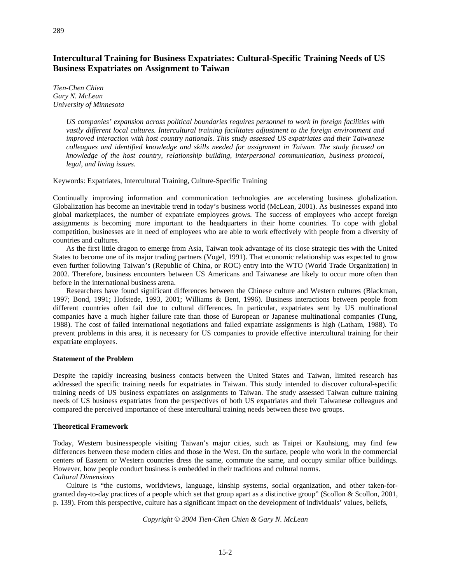# **Intercultural Training for Business Expatriates: Cultural-Specific Training Needs of US Business Expatriates on Assignment to Taiwan**

*Tien-Chen Chien Gary N. McLean University of Minnesota*

> *US companies' expansion across political boundaries requires personnel to work in foreign facilities with vastly different local cultures. Intercultural training facilitates adjustment to the foreign environment and improved interaction with host country nationals. This study assessed US expatriates and their Taiwanese colleagues and identified knowledge and skills needed for assignment in Taiwan. The study focused on knowledge of the host country, relationship building, interpersonal communication, business protocol, legal, and living issues.*

Keywords: Expatriates, Intercultural Training, Culture-Specific Training

Continually improving information and communication technologies are accelerating business globalization. Globalization has become an inevitable trend in today's business world (McLean, 2001). As businesses expand into global marketplaces, the number of expatriate employees grows. The success of employees who accept foreign assignments is becoming more important to the headquarters in their home countries. To cope with global competition, businesses are in need of employees who are able to work effectively with people from a diversity of countries and cultures.

As the first little dragon to emerge from Asia, Taiwan took advantage of its close strategic ties with the United States to become one of its major trading partners (Vogel, 1991). That economic relationship was expected to grow even further following Taiwan's (Republic of China, or ROC) entry into the WTO (World Trade Organization) in 2002. Therefore, business encounters between US Americans and Taiwanese are likely to occur more often than before in the international business arena.

Researchers have found significant differences between the Chinese culture and Western cultures (Blackman, 1997; Bond, 1991; Hofstede, 1993, 2001; Williams & Bent, 1996). Business interactions between people from different countries often fail due to cultural differences. In particular, expatriates sent by US multinational companies have a much higher failure rate than those of European or Japanese multinational companies (Tung, 1988). The cost of failed international negotiations and failed expatriate assignments is high (Latham, 1988). To prevent problems in this area, it is necessary for US companies to provide effective intercultural training for their expatriate employees.

### **Statement of the Problem**

Despite the rapidly increasing business contacts between the United States and Taiwan, limited research has addressed the specific training needs for expatriates in Taiwan. This study intended to discover cultural-specific training needs of US business expatriates on assignments to Taiwan. The study assessed Taiwan culture training needs of US business expatriates from the perspectives of both US expatriates and their Taiwanese colleagues and compared the perceived importance of these intercultural training needs between these two groups.

# **Theoretical Framework**

Today, Western businesspeople visiting Taiwan's major cities, such as Taipei or Kaohsiung, may find few differences between these modern cities and those in the West. On the surface, people who work in the commercial centers of Eastern or Western countries dress the same, commute the same, and occupy similar office buildings. However, how people conduct business is embedded in their traditions and cultural norms. *Cultural Dimensions*

Culture is "the customs, worldviews, language, kinship systems, social organization, and other taken-forgranted day-to-day practices of a people which set that group apart as a distinctive group" (Scollon & Scollon, 2001, p. 139). From this perspective, culture has a significant impact on the development of individuals' values, beliefs,

*Copyright © 2004 Tien-Chen Chien & Gary N. McLean*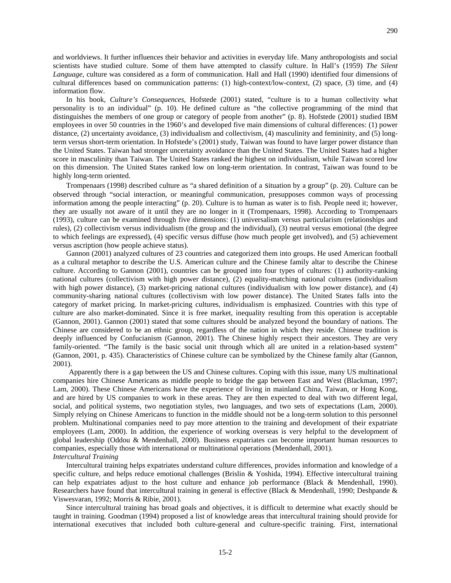and worldviews. It further influences their behavior and activities in everyday life. Many anthropologists and social scientists have studied culture. Some of them have attempted to classify culture. In Hall's (1959) *The Silent Language*, culture was considered as a form of communication. Hall and Hall (1990) identified four dimensions of cultural differences based on communication patterns: (1) high-context/low-context, (2) space, (3) time, and (4) information flow.

In his book, *Culture's Consequences*, Hofstede (2001) stated, "culture is to a human collectivity what personality is to an individual" (p. 10). He defined culture as "the collective programming of the mind that distinguishes the members of one group or category of people from another" (p. 8). Hofstede (2001) studied IBM employees in over 50 countries in the 1960's and developed five main dimensions of cultural differences: (1) power distance, (2) uncertainty avoidance, (3) individualism and collectivism, (4) masculinity and femininity, and (5) longterm versus short-term orientation. In Hofstede's (2001) study, Taiwan was found to have larger power distance than the United States. Taiwan had stronger uncertainty avoidance than the United States. The United States had a higher score in masculinity than Taiwan. The United States ranked the highest on individualism, while Taiwan scored low on this dimension. The United States ranked low on long-term orientation. In contrast, Taiwan was found to be highly long-term oriented.

Trompenaars (1998) described culture as "a shared definition of a situation by a group" (p. 20). Culture can be observed through "social interaction, or meaningful communication, presupposes common ways of processing information among the people interacting" (p. 20). Culture is to human as water is to fish. People need it; however, they are usually not aware of it until they are no longer in it (Trompenaars, 1998). According to Trompenaars (1993), culture can be examined through five dimensions: (1) universalism versus particularism (relationships and rules), (2) collectivism versus individualism (the group and the individual), (3) neutral versus emotional (the degree to which feelings are expressed), (4) specific versus diffuse (how much people get involved), and (5) achievement versus ascription (how people achieve status).

Gannon (2001) analyzed cultures of 23 countries and categorized them into groups. He used American football as a cultural metaphor to describe the U.S. American culture and the Chinese family altar to describe the Chinese culture. According to Gannon (2001), countries can be grouped into four types of cultures: (1) authority-ranking national cultures (collectivism with high power distance), (2) equality-matching national cultures (individualism with high power distance), (3) market-pricing national cultures (individualism with low power distance), and (4) community-sharing national cultures (collectivism with low power distance). The United States falls into the category of market pricing. In market-pricing cultures, individualism is emphasized. Countries with this type of culture are also market-dominated. Since it is free market, inequality resulting from this operation is acceptable (Gannon, 2001). Gannon (2001) stated that some cultures should be analyzed beyond the boundary of nations. The Chinese are considered to be an ethnic group, regardless of the nation in which they reside. Chinese tradition is deeply influenced by Confucianism (Gannon, 2001). The Chinese highly respect their ancestors. They are very family-oriented. "The family is the basic social unit through which all are united in a relation-based system" (Gannon, 2001, p. 435). Characteristics of Chinese culture can be symbolized by the Chinese family altar (Gannon, 2001).

Apparently there is a gap between the US and Chinese cultures. Coping with this issue, many US multinational companies hire Chinese Americans as middle people to bridge the gap between East and West (Blackman, 1997; Lam, 2000). These Chinese Americans have the experience of living in mainland China, Taiwan, or Hong Kong, and are hired by US companies to work in these areas. They are then expected to deal with two different legal, social, and political systems, two negotiation styles, two languages, and two sets of expectations (Lam, 2000). Simply relying on Chinese Americans to function in the middle should not be a long-term solution to this personnel problem. Multinational companies need to pay more attention to the training and development of their expatriate employees (Lam, 2000). In addition, the experience of working overseas is very helpful to the development of global leadership (Oddou & Mendenhall, 2000). Business expatriates can become important human resources to companies, especially those with international or multinational operations (Mendenhall, 2001). *Intercultural Training* 

Intercultural training helps expatriates understand culture differences, provides information and knowledge of a specific culture, and helps reduce emotional challenges (Brislin & Yoshida, 1994). Effective intercultural training can help expatriates adjust to the host culture and enhance job performance (Black & Mendenhall, 1990). Researchers have found that intercultural training in general is effective (Black & Mendenhall, 1990; Deshpande & Viswesvaran, 1992; Morris & Ribie, 2001).

Since intercultural training has broad goals and objectives, it is difficult to determine what exactly should be taught in training. Goodman (1994) proposed a list of knowledge areas that intercultural training should provide for international executives that included both culture-general and culture-specific training. First, international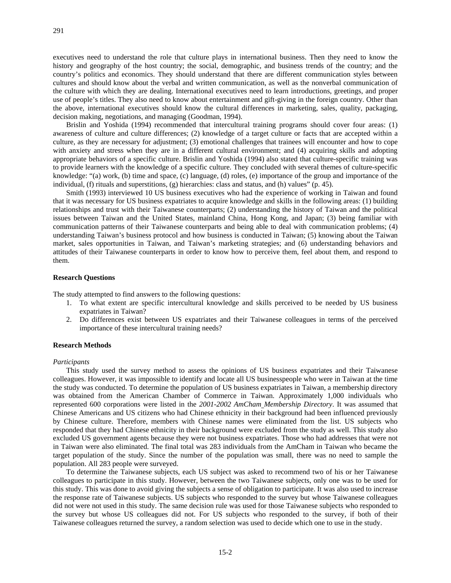executives need to understand the role that culture plays in international business. Then they need to know the history and geography of the host country; the social, demographic, and business trends of the country; and the country's politics and economics. They should understand that there are different communication styles between cultures and should know about the verbal and written communication, as well as the nonverbal communication of the culture with which they are dealing. International executives need to learn introductions, greetings, and proper use of people's titles. They also need to know about entertainment and gift-giving in the foreign country. Other than the above, international executives should know the cultural differences in marketing, sales, quality, packaging, decision making, negotiations, and managing (Goodman, 1994).

Brislin and Yoshida (1994) recommended that intercultural training programs should cover four areas: (1) awareness of culture and culture differences; (2) knowledge of a target culture or facts that are accepted within a culture, as they are necessary for adjustment; (3) emotional challenges that trainees will encounter and how to cope with anxiety and stress when they are in a different cultural environment; and (4) acquiring skills and adopting appropriate behaviors of a specific culture. Brislin and Yoshida (1994) also stated that culture-specific training was to provide learners with the knowledge of a specific culture. They concluded with several themes of culture-specific knowledge: "(a) work, (b) time and space, (c) language, (d) roles, (e) importance of the group and importance of the individual, (f) rituals and superstitions, (g) hierarchies: class and status, and (h) values" (p. 45).

Smith (1993) interviewed 10 US business executives who had the experience of working in Taiwan and found that it was necessary for US business expatriates to acquire knowledge and skills in the following areas: (1) building relationships and trust with their Taiwanese counterparts; (2) understanding the history of Taiwan and the political issues between Taiwan and the United States, mainland China, Hong Kong, and Japan; (3) being familiar with communication patterns of their Taiwanese counterparts and being able to deal with communication problems; (4) understanding Taiwan's business protocol and how business is conducted in Taiwan; (5) knowing about the Taiwan market, sales opportunities in Taiwan, and Taiwan's marketing strategies; and (6) understanding behaviors and attitudes of their Taiwanese counterparts in order to know how to perceive them, feel about them, and respond to them.

### **Research Questions**

The study attempted to find answers to the following questions:

- 1. To what extent are specific intercultural knowledge and skills perceived to be needed by US business expatriates in Taiwan?
- 2. Do differences exist between US expatriates and their Taiwanese colleagues in terms of the perceived importance of these intercultural training needs?

### **Research Methods**

### *Participants*

This study used the survey method to assess the opinions of US business expatriates and their Taiwanese colleagues. However, it was impossible to identify and locate all US businesspeople who were in Taiwan at the time the study was conducted. To determine the population of US business expatriates in Taiwan, a membership directory was obtained from the American Chamber of Commerce in Taiwan. Approximately 1,000 individuals who represented 600 corporations were listed in the *2001-2002 AmCham Membership Directory*. It was assumed that Chinese Americans and US citizens who had Chinese ethnicity in their background had been influenced previously by Chinese culture. Therefore, members with Chinese names were eliminated from the list. US subjects who responded that they had Chinese ethnicity in their background were excluded from the study as well. This study also excluded US government agents because they were not business expatriates. Those who had addresses that were not in Taiwan were also eliminated. The final total was 283 individuals from the AmCham in Taiwan who became the target population of the study. Since the number of the population was small, there was no need to sample the population. All 283 people were surveyed.

To determine the Taiwanese subjects, each US subject was asked to recommend two of his or her Taiwanese colleagues to participate in this study. However, between the two Taiwanese subjects, only one was to be used for this study. This was done to avoid giving the subjects a sense of obligation to participate. It was also used to increase the response rate of Taiwanese subjects. US subjects who responded to the survey but whose Taiwanese colleagues did not were not used in this study. The same decision rule was used for those Taiwanese subjects who responded to the survey but whose US colleagues did not. For US subjects who responded to the survey, if both of their Taiwanese colleagues returned the survey, a random selection was used to decide which one to use in the study.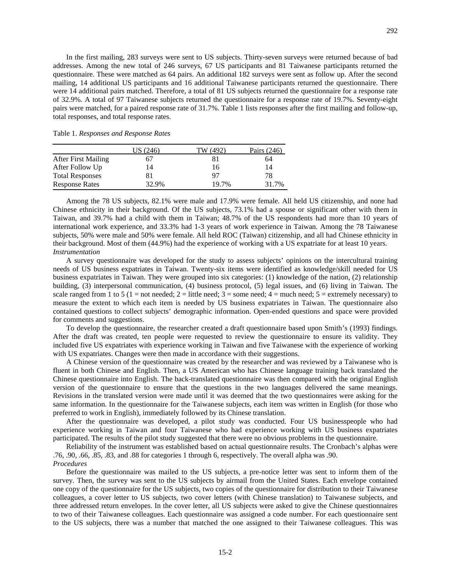In the first mailing, 283 surveys were sent to US subjects. Thirty-seven surveys were returned because of bad addresses. Among the new total of 246 surveys, 67 US participants and 81 Taiwanese participants returned the questionnaire. These were matched as 64 pairs. An additional 182 surveys were sent as follow up. After the second mailing, 14 additional US participants and 16 additional Taiwanese participants returned the questionnaire. There were 14 additional pairs matched. Therefore, a total of 81 US subjects returned the questionnaire for a response rate of 32.9%. A total of 97 Taiwanese subjects returned the questionnaire for a response rate of 19.7%. Seventy-eight pairs were matched, for a paired response rate of 31.7%. Table 1 lists responses after the first mailing and follow-up, total responses, and total response rates.

| Table 1. Responses and Response Rates |  |  |
|---------------------------------------|--|--|
|---------------------------------------|--|--|

|                            | US (246) | TW (492) | Pairs (246) |
|----------------------------|----------|----------|-------------|
| <b>After First Mailing</b> |          | 81       | 64          |
| After Follow Up            | 14       | 16       | 14          |
| <b>Total Responses</b>     |          | 97       | 78          |
| <b>Response Rates</b>      | 32.9%    | 19.7%    | 31.7%       |

Among the 78 US subjects, 82.1% were male and 17.9% were female. All held US citizenship, and none had Chinese ethnicity in their background. Of the US subjects, 73.1% had a spouse or significant other with them in Taiwan, and 39.7% had a child with them in Taiwan; 48.7% of the US respondents had more than 10 years of international work experience, and 33.3% had 1-3 years of work experience in Taiwan. Among the 78 Taiwanese subjects, 50% were male and 50% were female. All held ROC (Taiwan) citizenship, and all had Chinese ethnicity in their background. Most of them (44.9%) had the experience of working with a US expatriate for at least 10 years. *Instrumentation* 

A survey questionnaire was developed for the study to assess subjects' opinions on the intercultural training needs of US business expatriates in Taiwan. Twenty-six items were identified as knowledge/skill needed for US business expatriates in Taiwan. They were grouped into six categories: (1) knowledge of the nation, (2) relationship building, (3) interpersonal communication, (4) business protocol, (5) legal issues, and (6) living in Taiwan. The scale ranged from 1 to 5 (1 = not needed; 2 = little need; 3 = some need; 4 = much need; 5 = extremely necessary) to measure the extent to which each item is needed by US business expatriates in Taiwan. The questionnaire also contained questions to collect subjects' demographic information. Open-ended questions and space were provided for comments and suggestions.

To develop the questionnaire, the researcher created a draft questionnaire based upon Smith's (1993) findings. After the draft was created, ten people were requested to review the questionnaire to ensure its validity. They included five US expatriates with experience working in Taiwan and five Taiwanese with the experience of working with US expatriates. Changes were then made in accordance with their suggestions.

A Chinese version of the questionnaire was created by the researcher and was reviewed by a Taiwanese who is fluent in both Chinese and English. Then, a US American who has Chinese language training back translated the Chinese questionnaire into English. The back-translated questionnaire was then compared with the original English version of the questionnaire to ensure that the questions in the two languages delivered the same meanings. Revisions in the translated version were made until it was deemed that the two questionnaires were asking for the same information. In the questionnaire for the Taiwanese subjects, each item was written in English (for those who preferred to work in English), immediately followed by its Chinese translation.

After the questionnaire was developed, a pilot study was conducted. Four US businesspeople who had experience working in Taiwan and four Taiwanese who had experience working with US business expatriates participated. The results of the pilot study suggested that there were no obvious problems in the questionnaire.

Reliability of the instrument was established based on actual questionnaire results. The Cronbach's alphas were .76, .90, .66, .85, .83, and .88 for categories 1 through 6, respectively. The overall alpha was .90. *Procedures* 

Before the questionnaire was mailed to the US subjects, a pre-notice letter was sent to inform them of the survey. Then, the survey was sent to the US subjects by airmail from the United States. Each envelope contained one copy of the questionnaire for the US subjects, two copies of the questionnaire for distribution to their Taiwanese colleagues, a cover letter to US subjects, two cover letters (with Chinese translation) to Taiwanese subjects, and three addressed return envelopes. In the cover letter, all US subjects were asked to give the Chinese questionnaires to two of their Taiwanese colleagues. Each questionnaire was assigned a code number. For each questionnaire sent to the US subjects, there was a number that matched the one assigned to their Taiwanese colleagues. This was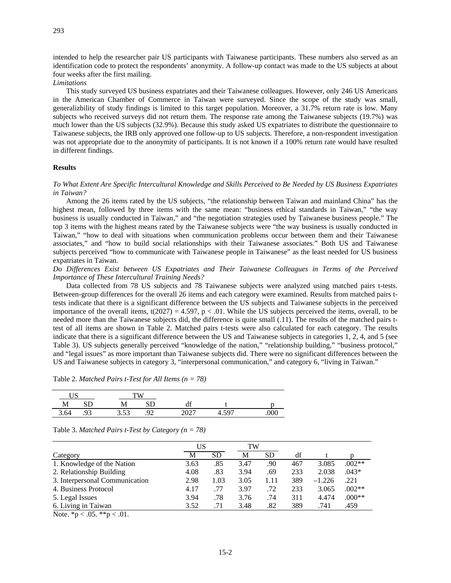intended to help the researcher pair US participants with Taiwanese participants. These numbers also served as an identification code to protect the respondents' anonymity. A follow-up contact was made to the US subjects at about four weeks after the first mailing.

*Limitations* 

This study surveyed US business expatriates and their Taiwanese colleagues. However, only 246 US Americans in the American Chamber of Commerce in Taiwan were surveyed. Since the scope of the study was small, generalizbility of study findings is limited to this target population. Moreover, a 31.7% return rate is low. Many subjects who received surveys did not return them. The response rate among the Taiwanese subjects (19.7%) was much lower than the US subjects (32.9%). Because this study asked US expatriates to distribute the questionnaire to Taiwanese subjects, the IRB only approved one follow-up to US subjects. Therefore, a non-respondent investigation was not appropriate due to the anonymity of participants. It is not known if a 100% return rate would have resulted in different findings.

### **Results**

### *To What Extent Are Specific Intercultural Knowledge and Skills Perceived to Be Needed by US Business Expatriates in Taiwan?*

Among the 26 items rated by the US subjects, "the relationship between Taiwan and mainland China" has the highest mean, followed by three items with the same mean: "business ethical standards in Taiwan," "the way business is usually conducted in Taiwan," and "the negotiation strategies used by Taiwanese business people." The top 3 items with the highest means rated by the Taiwanese subjects were "the way business is usually conducted in Taiwan," "how to deal with situations when communication problems occur between them and their Taiwanese associates," and "how to build social relationships with their Taiwanese associates." Both US and Taiwanese subjects perceived "how to communicate with Taiwanese people in Taiwanese" as the least needed for US business expatriates in Taiwan.

# *Do Differences Exist between US Expatriates and Their Taiwanese Colleagues in Terms of the Perceived Importance of These Intercultural Training Needs?*

Data collected from 78 US subjects and 78 Taiwanese subjects were analyzed using matched pairs t-tests. Between-group differences for the overall 26 items and each category were examined. Results from matched pairs ttests indicate that there is a significant difference between the US subjects and Taiwanese subjects in the perceived importance of the overall items,  $t(2027) = 4.597$ ,  $p < .01$ . While the US subjects perceived the items, overall, to be needed more than the Taiwanese subjects did, the difference is quite small (.11). The results of the matched pairs ttest of all items are shown in Table 2. Matched pairs t-tests were also calculated for each category. The results indicate that there is a significant difference between the US and Taiwanese subjects in categories 1, 2, 4, and 5 (see Table 3). US subjects generally perceived "knowledge of the nation," "relationship building," "business protocol," and "legal issues" as more important than Taiwanese subjects did. There were no significant differences between the US and Taiwanese subjects in category 3, "interpersonal communication," and category 6, "living in Taiwan."

| <b>TTC</b><br>◡◡ |   |                  |                |            |                            |  |
|------------------|---|------------------|----------------|------------|----------------------------|--|
| <b>IAT</b>       | ີ | TAT              | ىرد            | uı         |                            |  |
| 3.64             |   | $\sim$<br>ر ر. ر | ∩ኅ<br><u>~</u> | $\sqrt{2}$ | $\epsilon$ $\sim$<br>u<br> |  |

Table 2. *Matched Pairs t-Test for All Items (n = 78)*

| Table 3. Matched Pairs t-Test by Category ( $n = 78$ ) |  |  |  |  |  |
|--------------------------------------------------------|--|--|--|--|--|
|--------------------------------------------------------|--|--|--|--|--|

|                   |     | TW        |      |      | US   |                                |
|-------------------|-----|-----------|------|------|------|--------------------------------|
|                   | df  | <b>SD</b> | М    | SD   | M    | Category                       |
| $.002**$<br>3.085 | 467 | .90       | 3.47 | .85  | 3.63 | 1. Knowledge of the Nation     |
| $.043*$<br>2.038  | 233 | .69       | 3.94 | .83  | 4.08 | 2. Relationship Building       |
| $-1.226$<br>.221  | 389 | 1.11      | 3.05 | 1.03 | 2.98 | 3. Interpersonal Communication |
| $.002**$<br>3.065 | 233 | .72       | 3.97 | .77  | 4.17 | 4. Business Protocol           |
| $.000**$<br>4.474 | 311 | .74       | 3.76 | .78  | 3.94 | 5. Legal Issues                |
| .459<br>.741      | 389 | .82       | 3.48 | .71  | 3.52 | 6. Living in Taiwan            |
|                   |     |           |      |      |      |                                |

Note.  ${}^*p < .05.$   ${}^{**}p < .01.$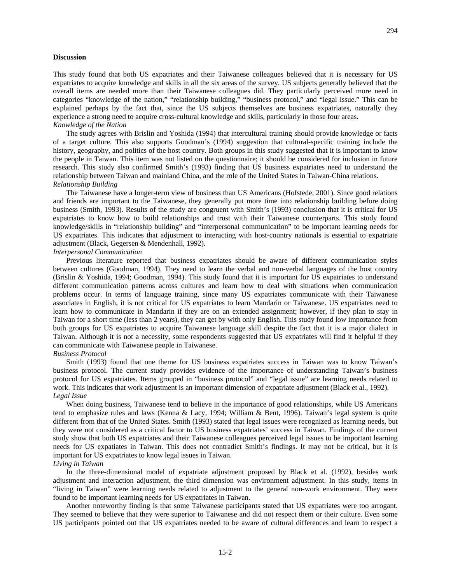### **Discussion**

This study found that both US expatriates and their Taiwanese colleagues believed that it is necessary for US expatriates to acquire knowledge and skills in all the six areas of the survey. US subjects generally believed that the overall items are needed more than their Taiwanese colleagues did. They particularly perceived more need in categories "knowledge of the nation," "relationship building," "business protocol," and "legal issue." This can be explained perhaps by the fact that, since the US subjects themselves are business expatriates, naturally they experience a strong need to acquire cross-cultural knowledge and skills, particularly in those four areas. *Knowledge of the Nation* 

The study agrees with Brislin and Yoshida (1994) that intercultural training should provide knowledge or facts of a target culture. This also supports Goodman's (1994) suggestion that cultural-specific training include the history, geography, and politics of the host country. Both groups in this study suggested that it is important to know the people in Taiwan. This item was not listed on the questionnaire; it should be considered for inclusion in future research. This study also confirmed Smith's (1993) finding that US business expatriates need to understand the relationship between Taiwan and mainland China, and the role of the United States in Taiwan-China relations. *Relationship Building*

The Taiwanese have a longer-term view of business than US Americans (Hofstede, 2001). Since good relations and friends are important to the Taiwanese, they generally put more time into relationship building before doing business (Smith, 1993). Results of the study are congruent with Smith's (1993) conclusion that it is critical for US expatriates to know how to build relationships and trust with their Taiwanese counterparts. This study found knowledge/skills in "relationship building" and "interpersonal communication" to be important learning needs for US expatriates. This indicates that adjustment to interacting with host-country nationals is essential to expatriate adjustment (Black, Gegersen & Mendenhall, 1992).

### *Interpersonal Communication*

Previous literature reported that business expatriates should be aware of different communication styles between cultures (Goodman, 1994). They need to learn the verbal and non-verbal languages of the host country (Brislin & Yoshida, 1994; Goodman, 1994). This study found that it is important for US expatriates to understand different communication patterns across cultures and learn how to deal with situations when communication problems occur. In terms of language training, since many US expatriates communicate with their Taiwanese associates in English, it is not critical for US expatriates to learn Mandarin or Taiwanese. US expatriates need to learn how to communicate in Mandarin if they are on an extended assignment; however, if they plan to stay in Taiwan for a short time (less than 2 years), they can get by with only English. This study found low importance from both groups for US expatriates to acquire Taiwanese language skill despite the fact that it is a major dialect in Taiwan. Although it is not a necessity, some respondents suggested that US expatriates will find it helpful if they can communicate with Taiwanese people in Taiwanese.

### *Business Protocol*

Smith (1993) found that one theme for US business expatriates success in Taiwan was to know Taiwan's business protocol. The current study provides evidence of the importance of understanding Taiwan's business protocol for US expatriates. Items grouped in "business protocol" and "legal issue" are learning needs related to work. This indicates that work adjustment is an important dimension of expatriate adjustment (Black et al., 1992). *Legal Issue* 

When doing business, Taiwanese tend to believe in the importance of good relationships, while US Americans tend to emphasize rules and laws (Kenna & Lacy, 1994; William & Bent, 1996). Taiwan's legal system is quite different from that of the United States. Smith (1993) stated that legal issues were recognized as learning needs, but they were not considered as a critical factor to US business expatriates' success in Taiwan. Findings of the current study show that both US expatriates and their Taiwanese colleagues perceived legal issues to be important learning needs for US expatiates in Taiwan. This does not contradict Smith's findings. It may not be critical, but it is important for US expatriates to know legal issues in Taiwan.

### *Living in Taiwan*

In the three-dimensional model of expatriate adjustment proposed by Black et al. (1992), besides work adjustment and interaction adjustment, the third dimension was environment adjustment. In this study, items in "living in Taiwan" were learning needs related to adjustment to the general non-work environment. They were found to be important learning needs for US expatriates in Taiwan.

Another noteworthy finding is that some Taiwanese participants stated that US expatriates were too arrogant. They seemed to believe that they were superior to Taiwanese and did not respect them or their culture. Even some US participants pointed out that US expatriates needed to be aware of cultural differences and learn to respect a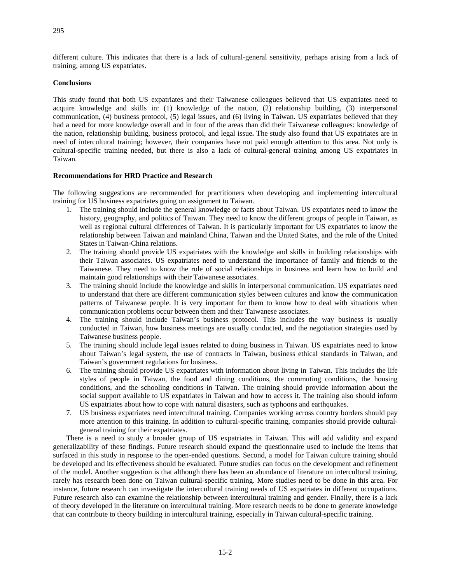different culture. This indicates that there is a lack of cultural-general sensitivity, perhaps arising from a lack of training, among US expatriates.

# **Conclusions**

This study found that both US expatriates and their Taiwanese colleagues believed that US expatriates need to acquire knowledge and skills in: (1) knowledge of the nation, (2) relationship building, (3) interpersonal communication, (4) business protocol, (5) legal issues, and (6) living in Taiwan. US expatriates believed that they had a need for more knowledge overall and in four of the areas than did their Taiwanese colleagues: knowledge of the nation, relationship building, business protocol, and legal issue**.** The study also found that US expatriates are in need of intercultural training; however, their companies have not paid enough attention to this area. Not only is cultural-specific training needed, but there is also a lack of cultural-general training among US expatriates in Taiwan.

# **Recommendations for HRD Practice and Research**

The following suggestions are recommended for practitioners when developing and implementing intercultural training for US business expatriates going on assignment to Taiwan.

- 1. The training should include the general knowledge or facts about Taiwan. US expatriates need to know the history, geography, and politics of Taiwan. They need to know the different groups of people in Taiwan, as well as regional cultural differences of Taiwan. It is particularly important for US expatriates to know the relationship between Taiwan and mainland China, Taiwan and the United States, and the role of the United States in Taiwan-China relations.
- 2. The training should provide US expatriates with the knowledge and skills in building relationships with their Taiwan associates. US expatriates need to understand the importance of family and friends to the Taiwanese. They need to know the role of social relationships in business and learn how to build and maintain good relationships with their Taiwanese associates.
- 3. The training should include the knowledge and skills in interpersonal communication. US expatriates need to understand that there are different communication styles between cultures and know the communication patterns of Taiwanese people. It is very important for them to know how to deal with situations when communication problems occur between them and their Taiwanese associates.
- 4. The training should include Taiwan's business protocol. This includes the way business is usually conducted in Taiwan, how business meetings are usually conducted, and the negotiation strategies used by Taiwanese business people.
- 5. The training should include legal issues related to doing business in Taiwan. US expatriates need to know about Taiwan's legal system, the use of contracts in Taiwan, business ethical standards in Taiwan, and Taiwan's government regulations for business.
- 6. The training should provide US expatriates with information about living in Taiwan. This includes the life styles of people in Taiwan, the food and dining conditions, the commuting conditions, the housing conditions, and the schooling conditions in Taiwan. The training should provide information about the social support available to US expatriates in Taiwan and how to access it. The training also should inform US expatriates about how to cope with natural disasters, such as typhoons and earthquakes.
- 7. US business expatriates need intercultural training. Companies working across country borders should pay more attention to this training. In addition to cultural-specific training, companies should provide culturalgeneral training for their expatriates.

There is a need to study a broader group of US expatriates in Taiwan. This will add validity and expand generalizability of these findings. Future research should expand the questionnaire used to include the items that surfaced in this study in response to the open-ended questions. Second, a model for Taiwan culture training should be developed and its effectiveness should be evaluated. Future studies can focus on the development and refinement of the model. Another suggestion is that although there has been an abundance of literature on intercultural training, rarely has research been done on Taiwan cultural-specific training. More studies need to be done in this area. For instance, future research can investigate the intercultural training needs of US expatriates in different occupations. Future research also can examine the relationship between intercultural training and gender. Finally, there is a lack of theory developed in the literature on intercultural training. More research needs to be done to generate knowledge that can contribute to theory building in intercultural training, especially in Taiwan cultural-specific training.